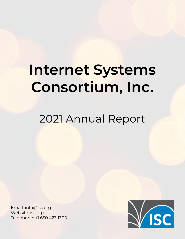# **Internet Systems Consortium, Inc.**

# 2021 Annual Report

Email: info@isc.org Website: isc.org Telephone: +1 650 423 1300

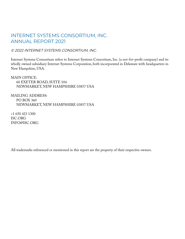#### INTERNET SYSTEMS CONSORTIUM, INC. ANNUAL REPORT 2021

© 2022 INTERNET SYSTEMS CONSORTIUM, INC.

Internet Systems Consortium refers to Internet Systems Consortium, Inc. (a not-for-profit company) and its wholly owned subsidiary Internet Systems Corporation, both incorporated in Delaware with headquarters in New Hampshire, USA.

MAIN OFFICE: 60 EXETER ROAD, SUITE 104 NEWMARKET, NEW HAMPSHIRE 03857 USA

MAILING ADDRESS: PO BOX 360 NEWMARKET, NEW HAMPSHIRE 03857 USA

+1 650 423 1300 ISC.ORG INFO@ISC.ORG

All trademarks referenced or mentioned in this report are the property of their respective owners.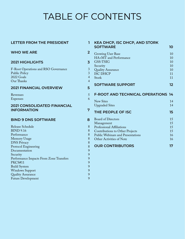## TABLE OF CONTENTS

| <b>LETTER FROM THE PRESIDENT</b>                                                         | 1                                          |
|------------------------------------------------------------------------------------------|--------------------------------------------|
| <b>WHO WE ARE</b>                                                                        | $\overline{2}$                             |
| <b>2021 HIGHLIGHTS</b>                                                                   | 3                                          |
| F-Root Operations and RSO Governance<br><b>Public Policy</b><br>2022 Goals<br>Our Thanks | 3<br>3<br>$\overline{4}$<br>$\overline{4}$ |
| <b>2021 FINANCIAL OVERVIEW</b>                                                           | 5                                          |
| Revenues<br><b>Expenses</b>                                                              | 5<br>6                                     |
| <b>2021 CONSOLIDATED FINANCIAL</b><br><b>INFORMATION</b>                                 | 7                                          |
|                                                                                          |                                            |
| <b>BIND 9 DNS SOFTWARE</b>                                                               | 8                                          |
| Release Schedule                                                                         | 8                                          |
| <b>BIND 9.16</b>                                                                         | 8                                          |
| Performance                                                                              | 8                                          |
| Memory Usage                                                                             | 8                                          |
| <b>DNS Privacy</b>                                                                       | 8                                          |
| Protocol Engineering                                                                     | 8                                          |
| Documentation                                                                            | 9                                          |
| Security                                                                                 | 9                                          |
| Performance Impacts From Zone Transfers                                                  | 9                                          |
| PKCS#11                                                                                  | 9                                          |
| <b>Build System</b>                                                                      | 9                                          |
| <b>Windows Support</b><br><b>Quality Assurance</b>                                       | 9<br>9                                     |

| KEA DHCP, ISC DHCP, AND STORK<br><b>SOFTWARE</b>                                                                                                                                | 10                                     |
|---------------------------------------------------------------------------------------------------------------------------------------------------------------------------------|----------------------------------------|
| Growing User Base<br>HA+MT and Performance<br>GSS-TSIG<br>Security<br><b>Quality Assurance</b><br><b>ISC DHCP</b><br>Stork                                                      | 10<br>10<br>10<br>10<br>10<br>11<br>11 |
| <b>SOFTWARE SUPPORT</b>                                                                                                                                                         | 12                                     |
| <b>F-ROOT AND TECHNICAL OPERATIONS 14</b>                                                                                                                                       |                                        |
| <b>New Sites</b><br><b>Upgraded Sites</b>                                                                                                                                       | 14<br>14                               |
| THE PEOPLE OF ISC                                                                                                                                                               | 15                                     |
| <b>Board of Directors</b><br>Management<br>Professional Affiliations<br>Contributions to Other Projects<br><b>Public Webinars and Presentations</b><br>Other Activities of Note | 15<br>15<br>15<br>15<br>16<br>16       |
| <b>OUR CONTRIBUTORS</b>                                                                                                                                                         | 17                                     |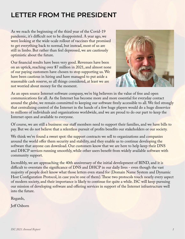### <span id="page-3-0"></span>**LETTER FROM THE PRESIDENT**

As we reach the beginning of the third year of the Covid-19 pandemic, it's difficult not to be disappointed. A year ago, we were looking at the wide-scale rollout of vaccines that promised to get everything back to normal, but instead, most of us are still in limbo. But rather than feel depressed, we are cautiously optimistic about the future.

Our financial results have been very good. Revenues have been on an uptick, reaching over \$7 million in 2021, and almost none of our paying customers have chosen to stop supporting us. We have been cautious in hiring and have managed to put aside a reasonable cash reserve, so all things considered, at least we are not worried about money for the moment.



As an open source Internet software company, we're big believers in the value of free and open communications for all. As the Internet has become more and more essential for everyday contact around the globe, we remain committed to keeping our software freely accessible to all. We feel strongly that centralizing control of the Internet in the hands of a few huge players would do a huge disservice to millions of individuals and organizations worldwide, and we are proud to do our part to keep the Internet open and available to everyone.

Of course, we are still a business: our staff members need to support their families, and we have bills to pay. But we do not believe that a relentless pursuit of profits benefits our stakeholders or our society.

We think we've found a sweet spot: the support contracts we sell to organizations and companies around the world offer them security and stability, and they enable us to continue developing the software that anyone can download. Our customers know that we are here to help keep their DNS and DHCP services running smoothly, while other users benefit from widely available software with community support.

Incredibly, we are approaching the 40th anniversary of the initial development of BIND, and it is difficult to overstate the significance of DNS and DHCP in our daily lives - even though the vast majority of people don't know what those letters even stand for (Domain Name System and Dynamic Host Configuration Protocol, in case you're one of them). These two protocols touch nearly every aspect of modern society, and their importance is likely to continue for quite a while. ISC will keep pursuing our mission of developing software and offering services in support of the Internet infrastructure well into the future.

Regards,

Jeff Osborn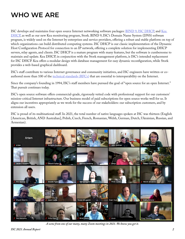### <span id="page-4-0"></span>**WHO WE ARE**

ISC develops and maintains four open source Internet networking software packages: [BIND 9](https://www.isc.org/bind/), [ISC DHCP](https://www.isc.org/dhcp/), and [Kea](https://www.isc.org/kea/)  [DHCP,](https://www.isc.org/kea/) as well as our new Kea monitoring program, Stork. BIND 9, ISC's Domain Name System (DNS) software program, is widely used on the Internet by enterprises and service providers, offering a robust and stable platform on top of which organizations can build distributed computing systems. ISC DHCP is our classic implementation of the Dynamic Host Configuration Protocol for connection to an IP network, offering a complete solution for implementing DHCP servers, relay agents, and clients. ISC DHCP is a mature program with many features, but the software is cumbersome to maintain and update. Kea DHCP, in conjunction with the Stork management platform, is ISC's intended replacement for ISC DHCP. Kea offers a modular design with database management for easy dynamic reconfiguration, while Stork provides a web-based graphical dashboard.

ISC's staff contribute to various Internet governance and community initiatives, and ISC engineers have written or coauthored more than 100 of the [technical standards \(RFCs\)](https://www.isc.org/rfcs/) that are essential to interoperability on the Internet.

Since the company's founding in 1994, ISC's staff members have pursued the goal of "open source for an open Internet." That pursuit continues today.

ISC's open source software offers commercial-grade, rigorously vetted code with professional support for our customers' mission-critical Internet infrastructure. Our business model of paid subscriptions for open source works well for us. It aligns our incentives appropriately as we work for the success of our stakeholders: our subscription customers, and by extension all users.

ISC is proud of its multinational staff. In 2021, the total number of native languages spoken at ISC was thirteen (English [American, British, AND Australian], Polish, Czech, French, Romanian, Welsh, German, Dutch, Ukrainian, Russian, and Armenian).



*A scene from one of our many, many Zoom meetings in 2021. We know you get it.*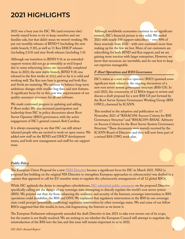### <span id="page-5-0"></span>**2021 HIGHLIGHTS**

2021 was a busy year for ISC. We (and everyone else) mostly stayed home to try to keep ourselves and our families safe, but that didn't mean we weren't working. We put out monthly releases of BIND 9 (including the new stable branch, 9.18), as well as 11 Kea DHCP releases (including 2.0.0) and nine Stork releases (including 1.0).

Although our transition to BIND 9.16 as an extendedsupport version did not go as smoothly as we'd hoped due to some refactoring issues, we successfully completed those in 2021; the new stable branch, BIND 9.18, was released in the first weeks of 2022, and so far it is solid and working well. The Kea user base is growing and both Kea and Stork are maturing. We continue to balance long-term ambitious changes with smaller bug fixes and new features. A significant focus for us this year was improvement of our quality-assurance processes for all our software.

We made continued progress in updating and adding F-Root nodes. We also increased participation and leadership from ISC in policy discussions about Root Server Operator (RSO) governance, with the active engagement of ISC's general counsel, Rob Carolina.

It is always reassuring to see that ISC can still attract talented people who are excited to work on open source. We added new staff on the BIND and DHCP development teams, and both new management and staff for our support team.

Although worldwide economies continue to see significant turmoil, ISC's financial picture is very solid. We ended 2021 with nearly 150 support subscribers - over 90% of them renewals from 2020 - with new customers more than making up for the few we lost. More of our customers are subscribing for both BIND and Kea support, and we are gaining more traction with larger enterprises. However, we know that recessions are inevitable, and do our best to keep our expenses manageable.

#### *F-Root Operations and RSO Governance*

ISC's status as a root service operator (RSO) spawned some significant work related to the ongoing discussions of a new root server system governance structure (RSS GS). In mid-2021, the community of 12 RSOs began to review and discuss a draft proposal for a new RSS GS put forward by the Root Server System Governance Working Group (RSS GWG), chartered by ICANN.

This resulted in the adoption and publication on 17 November 2021 of "RSSAC058: Success Criteria for RSS Governance Structure" and "RSSAC059: RSSAC Advisory on Success Criteria for the Root Server System Governance Structure." These documents were warmly received by the ICANN Board of Directors and they will now form part of a revised RSS GWG work plan.

#### *Public Policy*

The European Union Proposal for a new [NIS2 Directive](https://www.europarl.europa.eu/thinktank/en/document/EPRS_BRI(2021)689333) became a significant focus for ISC in March 2021. NIS2 (a proposed law building on the original NIS Directive to strengthen European approaches to cybersecurity) was drafted in a manner that appeared to call for EU member states to regulate the cybersecurity arrangements of all 12 global RSOs.

While ISC applauds the desire to strengthen cyberdefenses, **ISC** submitted public comments on the proposed Directive specifically calling out the danger of any sovereign state attempting to directly regulate the world's root server system (RSS). We pointed out that, far from enhancing the resilience and security of the Internet, sovereign intervention in RSS operations could destabilize the RSS and DNS. We explained that regulatory intervention in the RSS by one sovereign state could prompt (potentially conflicting) regulatory intervention by other sovereign states. We and some of our fellow RSOs suggested that this would, in turn, risk fragmenting the Internet as we know it.

The European Parliament subsequently amended the draft Directive in late 2021 to take root servers out of its scope, but the matter is not finally resolved. We are waiting to see whether the European Council will attempt to negotiate the reintroduction of the RSS into the law, and this issue will remain important to us in 2022.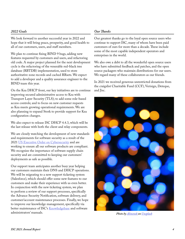#### <span id="page-6-0"></span>*2022 Goals*

We look forward to another successful year in 2022 and hope that it will bring peace, prosperity, and good health to all of our customers, users, and staff members.

We plan to continue fixing BIND 9 bugs, adding new features requested by customers and users, and refactoring old code. A major project planned for the next development cycle is the refactoring of the venerable red-black tree database (RBTDB) implementation, used to store authoritative zone records and cached RRsets. We expect to add a developer and a quality assurance engineer to the BIND team this year.

On the Kea DHCP front, our key initiatives are to continue improving secured administrative access to Kea with Transport Layer Security (TLS); to add some role-based access controls; and to focus on new customer requests as Kea meets growing operational requirements. We are also planning to expand Stork to provide support for Kea configuration changes.

We also expect to release ISC DHCP 4.4.3, which will be the last release with both the client and relay components.

We are closely watching the development of new standards and requirements for software security as a result of the 2021 [US Executive Order on Cybersecurity](https://www.whitehouse.gov/briefing-room/presidential-actions/2021/05/12/executive-order-on-improving-the-nations-cybersecurity/) and are working to ensure all our software products are compliant. We recognize the importance of software supply chain security and are committed to keeping our customers' deployments as safe as possible.

Our support team anticipates another busy year helping our customers maintain their DNS and DHCP operations. We will be migrating to a new support ticketing system (Salesforce), which should offer some new features to our customers and make their experience with us even better. In conjunction with the new ticketing system, we plan to perform a review of our support processes, specifically the Advance Security Notification, software delivery, and customer/account maintenance processes. Finally, we hope to improve our knowledge management, specifically via better maintenance of ISC's [Knowledgebase](https://kb.isc.org) and software administrators' manuals.

#### *Our Thanks*

Our greatest thanks go to the loyal open source users who continue to support ISC, many of whom have been paid customers of ours for more than a decade. These include some of the most capable independent operators and enterprises in the world.

We also owe a debt to all the wonderful open source users who have submitted feedback and patches, and the open source packagers who maintain distributions for our users. We regard many of these collaborators as our friends.

In 2021 we received generous unrestricted donations from the craigslist Charitable Fund (CCF), Verisign, Deteque, and Jisc.

![](_page_6_Picture_11.jpeg)

*Photo by [Alinenok](https://unsplash.com/@alinenok?utm_source=unsplash&utm_medium=referral&utm_content=creditCopyText) on [Unsplash](https://unsplash.com/s/photos/bokeh?utm_source=unsplash&utm_medium=referral&utm_content=creditCopyText)*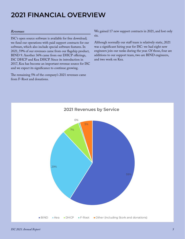### <span id="page-7-0"></span>**2021 FINANCIAL OVERVIEW**

#### *Revenues*

ISC's open source software is available for free download; we fund our operations with paid support contracts for our software, which also include special software features. In 2021, 59% of our revenues came from our flagship product, BIND 9. Another 36% came from our DHCP offerings, ISC DHCP and Kea DHCP. Since its introduction in 2017, Kea has become an important revenue source for ISC and we expect its significance to continue growing.

The remaining 5% of the company's 2021 revenues came from F-Root and donations.

We gained 17 new support contracts in 2021, and lost only six.

Although normally our staff team is relatively static, 2021 was a significant hiring year for ISC: we had eight new engineers join our ranks during the year. Of those, four are additions to our support team, two are BIND engineers, and two work on Kea.

![](_page_7_Figure_6.jpeg)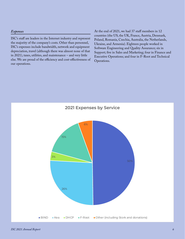#### <span id="page-8-0"></span>*Expenses*

ISC's staff are leaders in the Internet industry and represent the majority of the company's costs. Other than personnel, ISC's expenses include bandwidth, network and equipment depreciation, travel (although there was almost none of that in 2021), taxes, utilities, and maintenance – and very little else. We are proud of the efficiency and cost-effectiveness of our operations.

At the end of 2021, we had 37 staff members in 12 countries (the US, the UK, France, Austria, Denmark, Poland, Romania, Czechia, Australia, the Netherlands, Ukraine, and Armenia). Eighteen people worked in Software Engineering and Quality Assurance; six in Support; five in Sales and Marketing; four in Finance and Executive Operations; and four in F-Root and Technical Operations.

![](_page_8_Figure_3.jpeg)

*ISC 2021 Annual Report 6*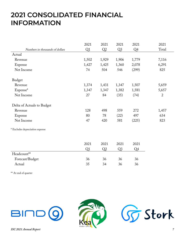### <span id="page-9-0"></span>**2021 CONSOLIDATED FINANCIAL INFORMATION**

|                                 | 2021  | 2021  | 2021           | 2021           | 2021           |
|---------------------------------|-------|-------|----------------|----------------|----------------|
| Numbers in thousands of dollars | Q1    | Q2    | $Q_3$          | Q <sub>4</sub> | Total          |
| Actual                          |       |       |                |                |                |
| Revenue                         | 1,502 | 1,929 | 1,906          | 1,779          | 7,116          |
| Expense                         | 1,427 | 1,425 | 1,360          | 2,078          | 6,291          |
| Net Income                      | 74    | 504   | 546            | (299)          | 825            |
| Budget                          |       |       |                |                |                |
| Revenue                         | 1,374 | 1,431 | 1,347          | 1,507          | 5,659          |
| Expense*                        | 1,347 | 1,347 | 1,382          | 1,581          | 5,657          |
| Net Income                      | 27    | 84    | (35)           | (74)           | $\mathfrak{2}$ |
| Delta of Actuals to Budget      |       |       |                |                |                |
| Revenue                         | 128   | 498   | 559            | 272            | 1,457          |
| Expense                         | 80    | 78    | (22)           | 497            | 634            |
| Net Income                      | 47    | 420   | 581            | (225)          | 823            |
| * Excludes depreciation expense |       |       |                |                |                |
|                                 | 2021  | 2021  | 2021           | 2021           |                |
|                                 | Q1    | Q2    | Q <sub>3</sub> | Q4             |                |
| Headcount**                     |       |       |                |                |                |
| Forecast/Budget                 | 36    | 36    | 36             | 36             |                |
| Actual                          | 35    | 34    | 36             | 36             |                |

\*\* At end of quarter

![](_page_9_Picture_3.jpeg)

![](_page_9_Picture_4.jpeg)

![](_page_9_Picture_5.jpeg)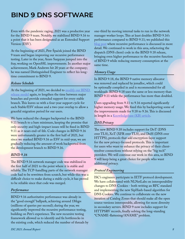### <span id="page-10-0"></span>**BIND 9 DNS SOFTWARE**

Even with the pandemic raging, 2021 was a productive year for the BIND 9 team. Notably, we stabilized BIND 9.16 to a point that it has been designated as an Extended Support Version (ESV).

At the beginning of 2021, Petr Špaček joined the BIND 9 team and began improving our recursive performance testing. Later in the year, Aram Sargsyan jumped into the fray, working on OpenSSL improvements. In another major achievement, Mark Andrews hit 20 years at the company; he was named Distinguished Engineer to reflect his longtime commitment to BIND 9.

#### *Release Schedule*

At the beginning of 2021, we decided to modify our BIND [release model](https://www.isc.org/blogs/2021-bind-release-model/) again, to lengthen the time between major branches and provide extended support for every stable branch. This leaves us with a four-year support cycle for each Stable/ESV release and a two-year overlap to allow a graceful migration period for our users.

We have reduced the changes backported to the BIND 9.11 branch to a bare minimum, keeping the promise that only security and high-impact issues will be fixed in BIND 9.11 as it nears end-of-life. Code changes in BIND 9.16 were unfortunately greater in the first half of 2021, but since we marked BIND 9.16 as ESV in mid-year, we are gradually reducing the amount of work backported from the development branch to BIND 9.16.

#### *BIND 9.16*

The BIND 9.16 network manager code was stabilized in the first half of 2021 to the point where it is stable and reliable. The TCP-handling parts of the network manager code had to be rewritten from scratch, but while this was a difficult choice to make during a stable cycle, it has proved to be reliable since that code was merged.

#### *Performance*

BIND 9.16 authoritative performance was already in the "good enough" ballpark, achieving around 1Mqps (millions of queries per second); during the year, we significantly improved the recursive performance testing, building on Petr's experience. The new recursive testing framework allowed us to identify and fix bottlenecks in the existing code, which reduced the number of threads by one-third by moving internal tasks to run in the network manager worker loops. This at least doubles BIND 9.16's performance compared to BIND 9.11; we published this [blog post](https://www.isc.org/blogs/bind-resolver-performance-july-2021/) where recursive performance is discussed in more detail. We continued to work in this area, refactoring the dispatch (DNS client) code in the BIND 9.18 release, bringing even higher performance to the recursive function of BIND 9 while reducing memory consumption at the same time.

#### *Memory Usage*

In BIND 9.18, the BIND 9 native memory allocator was removed and replaced by jemalloc, which could be optionally compiled in and is recommended for all workloads. BIND 9.18 uses the same or less memory than BIND 9.11 while the performance has more than doubled.

Users upgrading from 9.11 to 9.16 reported significantly higher memory usage. We fixed this by backporting some of the improvements made for 9.18 to 9.16. This is discussed in length in a [Knowledgebase \(KB\) article](https://kb.isc.org/docs/bind-memory-consumption-explained).

#### *DNS Privacy*

The new BIND 9.18 includes support for DoT (DNS over TLS), XoT (XFR over TLS), and DoH (DNS over HTTPS), protocols that add encryption-layer support for the new privacy-focused protocols. This is important for users who want to enhance the privacy of their clientresolver connections without relying on the "big tech" providers. We will continue our work in this area, so BIND 9 will keep being a great choice for people who want additional privacy.

#### *Protocol Engineering*

ISC's engineers participate in IETF protocol development. We have collaborated with NLNetLabs on interoperability changes to DNS Cookies - both writing an RFC standard and implementing the new SipHash-based algorithm for DNS Cookies. We continue to collaborate on the new iteration of Catalog Zones that should make all the open source versions interoperable, allowing for more diversity in secondary servers. BIND 9 now includes support for HTTPSRV records, finally solving the long-standing "CNAME-flattening/ANAME" problem.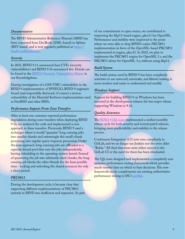#### <span id="page-11-0"></span>*Documentation*

The BIND Administrative Reference Manual (ARM) has been converted from DocBook (XML-based) to Sphinx (RST-based) and is now regularly published at [https://](https://bind9.readthedocs.io/) [bind9.readthedocs.io/.](https://bind9.readthedocs.io/)

#### *Security*

In 2021, BIND 9.11 announced four CVEs (security vulnerabilities) and BIND 9.16 announced five. Details can be found in the [BIND 9 Security Vulnerability Matrix](https://kb.isc.org/docs/aa-00959) in our Knowledgebase.

During investigation of a GSS-TSIG vulnerability in the BIND 9 implementation of SPNEGO, BIND 9 engineers found (and responsibly disclosed, of course) a serious vulnerability of the Heimdal Kerberos implementation used in FreeBSD and other BSDs.

#### *Performance Impacts From Zone Transfers*

After at least one customer reported performance degradation during zone transfers when deploying BIND 9.16, we analyzed the code and implemented a new approach to these transfers. Previously, BIND 9 used a technique where it would "quantize" long-running jobs into smaller chunks and intermingle this small-chunk processing into regular query-response processing. Under the new approach, long-running jobs are offloaded to a separate thread pool that runs the jobs independently, leaving scheduling to the operating-system kernel. Instead of quantizing the job into arbitrarily sized chunks, the longrunning job blocks the other threads for the least possible time - locking and unlocking the shared resources for only a short period.

#### *PKCS#11*

During the development cycle, it became clear that supporting different implementations of PKCS#11 natively in BIND was inefficient and expensive. As part of our commitment to open source, we contributed to improving the libp11-based engine\_pkcs11 for OpenSSL. Performance and stability were improved to the point where we were able to drop BIND's native PKCS#11 implementation in favor of the OpenSSL-based PKCS#11 implemented in engine\_pkcs11. In 2022, we plan to implement the PKCS#11 engine for OpenSSL 1.x and the PKCS#11 driver for OpenSSL 3.x, without using libp11.

#### *Build System*

The build system used by BIND 9 has been completely rewritten to use autoconf, automake, and libtool, making it more modern and easier to understand and modify.

#### *Windows Support*

Support for building BIND 9 on Windows has been removed in the development release; the last major release supporting Windows is 9.16.

#### *Quality Assurance*

The **BIND 9 QA** team implemented a unified monthly release cycle for both security and normal patch releases, bringing more predictability and stability to the release process.

Continuous Integration (CI) now runs completely in GitLab, and we no longer use Jenkins nor the even older "Robie." All their functions were either moved to the GitLab CI or the need for them has been eliminated.

The QA team designed and implemented a completely new recursive performance testing framework which provides much-needed data on which to base decisions. This new framework nicely complements our existing authoritative performance testing in ISC's [perflab](https://github.com/isc-projects/perflab).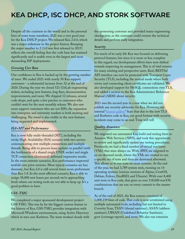### <span id="page-12-0"></span>**KEA DHCP, ISC DHCP, AND STORK SOFTWARE**

Despite all the craziness in the world and in the personal lives of some team members, 2021 was a very good year for the Kea DHCP project. We released Kea 2.0.0, which was a major milestone in the project history. Bumping the major number to 2 (1.0 was first released in 2015) reflects the overall feeling that the code base has matured significantly and is usable even in the largest and most demanding ISP deployments.

#### *Growing User Base*

Our confidence in Kea is backed up by the growing number of users. We ended 2021 with nearly 50 Kea support customers - a substantial increase from 32 at the end of 2020. During the year we closed 521 GitLab engineering tickets, including new features, bug fixes, documentation improvements, and more. We shipped 12 releases, several code drops, and quite a few patches to customers who couldn't wait for the next monthly release. We also saw more support customers who are not ISPs; the expansion into enterprise and university markets is both exciting and challenging. The trend is also visible in the new features being requested and implemented.

#### *HA+MT and Performance*

Kea is now fully multi-threaded (MT), including the tricky High Availability (HA) scenario with two servers communicating over multiple connections and multiple threads. Being able to process lease updates in parallel (with the bottlenecks of a shared single UNIX socket and single TCP connection eliminated) delivered impressive results. In the most extreme scenarios, Kea performance improved tenfold over prior versions. More typical scenarios are less dramatic, but Kea 2.0 is still several times more performant than Kea 1.8. In the most efficient scenario, Kea is able to assign 38,000 new leases per second; we're approaching levels where our testing tools are not able to keep up. It's a good problem to have.

#### *GSS-TSIG*

We completed a major sponsored development project: GSS-TSIG. This was by far the biggest custom feature in the history of Kea. GSS-TSIG provides integration with Microsoft Windows environments, using Active Directory which in turn uses Kerberos. The team worked closely with the sponsoring customer and provided many engineering checkpoints, so the customer could oversee the technical details and perform early integration.

#### *Security*

For much of its early life Kea was focused on delivering protocol features, but since it is more or less complete in this regard, our development efforts have now shifted towards improving its management. This is of vital interest for many existing and prospective users. Kea's RESTful API interface can now be protected with Transport Layer Security (TLS), including the mutual mode where both server and connecting client certificates are validated. We also developed support for MySQL connections over TLS, and added a section to the Kea Administrator Reference Manual (ARM) about security.

2021 was the second year in a row when we did not publish any security advisories for Kea. However, our internal ["peanut gallery"](https://en.wikipedia.org/wiki/Peanut_gallery) fears that due to the new TLS and Kerberos code in Kea, our good fortune with security incidents may come to an end. Time will tell!

#### *Quality Assurance*

We migrated our automated Kea build and testing farm to Amazon Web Services (AWS), and took this opportunity to review and significantly update our testing procedures. Previously, we had a fixed number of virtual machines (VMs) that were always on. With AWS, we migrated to an on-demand mode, where the VMs are created to run a specific set of tests and then are destroyed afterward. This allows us to run tests on more systems. At the end of the year, we had 3,789 system tests, running on 14 operating systems (various versions of Alpine, CentOS, Debian, Fedora, FreeBSD, and Ubuntu). With over 8,400 unit-tests in Kea code, that gives us over 118,000 test/OS combinations that are run on every commit to the master branch.

As of the end of 2021, the Kea sources consisted of 1,008,159 lines of code. That code is now scrutinized using multiple automated tools, including but not limited to Coverity Scan, TSAN (thread sanitizer), ASAN (address sanitizer), UBSAN (Undefined Behavior Sanitizer), gcov (coverage report), and more. We also run extensive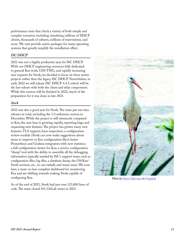<span id="page-13-0"></span>performance tests that check a variety of both simple and complex scenarios, including simulating millions of DHCP clients, thousands of subnets, millions of reservations, and more. We now provide native packages for many operating systems that greatly simplify the installation effort.

#### *ISC DHCP*

2021 was not a highly productive year for ISC DHCP. With our DHCP engineering resources fully dedicated to general Kea work, GSS-TSIG, and rapidly increasing user requests for Stork, we decided to focus on these newer projects rather than the legacy ISC DHCP. Nevertheless, in early 2022 we will release ISC DHCP 4.4.3, which will be the last release with both the client and relay components. While this version will be finished in 2022, much of the preparation for it was done in late 2021.

#### *Stork*

2021 was also a good year for Stork. The team put out nine releases in total, including the 1.0 milestone version in December. While the project is still minuscule compared to Kea, the user base is growing rapidly, reporting bugs and requesting new features. The project has gotten many new features: TLS support; lease inspection; a configuration review module (Stork can now make suggestions about items to improve in Kea configuration files); better Prometheus and Grafana integration with new statistics; a full configuration viewer for Kea; a service configuration "dump" tool with the ability to assemble all the debugging information typically needed by ISC's support team, such as configuration files, log files, a database dump, the OS/Kea/ Stork versions, etc., in one tarball; and many more. We now have a more-or-less complete dashboard for monitoring Kea and are shifting towards making Stork capable of configuring Kea.

As of the end of 2021, Stork had just over 123,000 lines of code. The team closed 161 GitLab issues in 2021.

![](_page_13_Picture_6.jpeg)

*Photo by [Dana Taberima](https://unsplash.com/@luzentefotografie?utm_source=unsplash&utm_medium=referral&utm_content=creditCopyText) on [Unsplash](https://unsplash.com/s/photos/stork?utm_source=unsplash&utm_medium=referral&utm_content=creditCopyText)*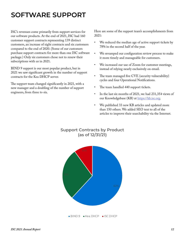### <span id="page-14-0"></span>**SOFTWARE SUPPORT**

ISC's revenues come primarily from support services for our software products. At the end of 2021, ISC had 160 customer support contracts representing 139 distinct customers, an increase of eight contracts and six customers compared to the end of 2020. (Some of our customers purchase support contracts for more than one ISC software package.) Only six customers chose not to renew their subscriptions with us in 2021.

BIND 9 support is our most popular product, but in 2021 we saw significant growth in the number of support contracts for the Kea DHCP server.

The support team changed significantly in 2021, with a new manager and a doubling of the number of support engineers, from three to six.

Here are some of the support team's accomplishments from 2021:

- We reduced the median age of active support tickets by 78% in the second half of the year.
- We revamped our configuration review process to make it more timely and manageable for customers.
- We increased our use of Zoom for customer meetings, instead of relying nearly exclusively on email.
- The team managed five CVE (security vulnerability) cycles and four Operational Notifications.
- The team handled 440 support tickets.
- In the last six months of 2021, we had 231,354 views of our Knowledgebase (KB) at<https://kb.isc.org>.
- We published 33 new KB articles and updated more than 150 others. We added SEO text to all of the articles to improve their searchability via the Internet.

![](_page_14_Figure_12.jpeg)

![](_page_14_Figure_13.jpeg)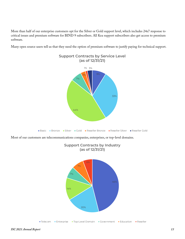More than half of our enterprise customers opt for the Silver or Gold support level, which includes 24x7 response to critical issues and premium software for BIND 9 subscribers. All Kea support subscribers also get access to premium software.

Many open source users tell us that they need the option of premium software to justify paying for technical support.

![](_page_15_Figure_2.jpeg)

Most of our customers are telecommunications companies, enterprises, or top-level domains.

![](_page_15_Figure_4.jpeg)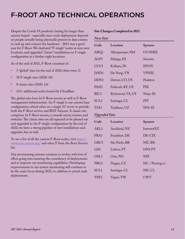### <span id="page-16-0"></span>**F-ROOT AND TECHNICAL OPERATIONS**

Despite the Covid-19 pandemic lasting far longer than anyone hoped - especially since node deployment depends on people actually being physically present in data centers to rack up and connect the hardware - 2021 was a good year for F-Root. We deployed "F-single" nodes at nine new locations, and upgraded "classic" installations to F-single configuration at a further eight locations.

As of the end of 2021, F-Root consisted of:

- 3 "global" sites (at the end of 2020, there were 3)
- 58 F-single sites (2020: 42)
- 8 classic sites (2020: 16)
- 215+ additional nodes hosted by Cloudflare

The global sites host 2x F-Root servers as well as F-Root management infrastructure. An F-single is our current base configuration, which relies on a single 1U server to provide both the F-Root service and BGP Anycast. A classic site comprises 2x F-Root servers, a console server, routers, and switches. The classic sites are all expected to be phased out and upgraded to the F-single configuration by the end of 2022; we have a strong pipeline of new installations and upgrades due as well.

To see a list of all the current F-Root nodes, visit [https://](https://www.root-servers.org/) [www.root-servers.org/](https://www.root-servers.org/) and select F from the Root Servers list.

Our provisioning systems continue to evolve, with lots of effort going into ensuring the consistency of deployments and to improve our monitoring capabilities. Developing improvements to our system monitoring will continue to be the main focus during 2022, in addition to actual node deployments.

#### **Site Changes Completed in 2021**

#### *New Sites*

| Code                  | Location         | Sponsor          |  |  |
|-----------------------|------------------|------------------|--|--|
| ABQ1                  | Albuquerque, NM  | <b>US NMIX</b>   |  |  |
| AGP1                  | Malaga, ES       | Startnix         |  |  |
| CCU <sub>1</sub>      | Kolkata, IN      | <b>IIFON</b>     |  |  |
| DAD1                  | Da Nang, VN      | <b>VNNIC</b>     |  |  |
| DEN <sub>2</sub>      | Denver, CO, US   | Peaktera         |  |  |
| PAH1                  | Paducah, KY, US  | PIE              |  |  |
| RIC1                  | Richmond, VA, US | Ninja-IX         |  |  |
| SCL <sub>2</sub>      | Santiago, CL     | <b>PIT</b>       |  |  |
| TAS1                  | Tashkent, UZ     | SNS-IX           |  |  |
| <b>Upgraded Sites</b> |                  |                  |  |  |
| Code                  | Location         | Sponsor          |  |  |
| AKL1                  | Auckland, NZ     | InternetNZ       |  |  |
| FRA1                  | Frankfurt, DE    | DE-CIX           |  |  |
| GRU1                  | São Paolo, BR    | NIC.BR           |  |  |
| LIS1                  | Lisbon, PT       | <b>DNSPT</b>     |  |  |
| OSL1                  | Oslo, NO         | <b>NIX</b>       |  |  |
| PRG1                  | Prague, CZ       | ISC / Peering.cz |  |  |
| SCL <sub>1</sub>      | Santiago, CL     | NIC.CL           |  |  |

TPE1 Taipei, TW CWT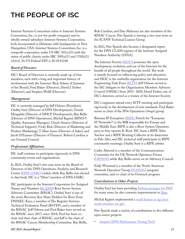### <span id="page-17-0"></span>**THE PEOPLE OF ISC**

Internet Systems Consortium refers to Internet Systems Consortium, Inc. (a not-for-profit company) and its wholly owned subsidiary Internet Systems Corporation, both incorporated in Delaware with headquarters in New Hampshire, USA. Internet Systems Consortium, Inc. is a nonprofit corporation under US IRC  $501(c)(3)$  with the status of public charity under IRC 509(a)(1) and 170(b)(1) (A)(vi). Its US Federal EIN is 20-0141248.

#### *Board of Directors*

ISC's Board of Directors is currently made up of four members, each with a long and important history of involvement with the Internet: Rick Adams (Chairman of the Board), Fred Baker (Director), David J. Farber (Director), and Stephen Wolff (Director).

#### *Management*

ISC is currently managed by Jeff Osborn (President), Ondřej Surý (Director of DNS Development), Tomek Mrugalski (Director of DHCP Development), Ray Bellis (Director of DNS Operations), Michał Kępień (BIND 9 Quality Assurance Manager), Chuck Stearns (Director of Technical Support), Vicky Risk (Director of Marketing and Product Marketing), T. Marc Jones (Director of Sales), and Jacob D'Erasmo (Director of Finance). Robert Carolina is our General Counsel.

#### *Professional Affiliations*

ISC staff continue to participate vigorously in DNS community events and organizations.

In 2021, Ondřej Surý's two-year term on the Board of Directors of the DNS Operations, Analysis, and Research Center [\(DNS-OARC\)](https://www.dns-oarc.net/) ended, while Ray Bellis was elected to that body. ISC is a "Silver" member of DNS-OARC.

ISC participates in the Internet Corporation for Assigned Names and Numbers [\(ICANN\)](https://www.icann.org/) Root Server System Advisory Committee (RSSAC). Ondřej Surý is one of the seven Recovery Key Share Holders for Root Zone DNSSEC Keys, a member of The Registry Services Technical Evaluation Panel (RSTEP), and a member of the RSSAC. Jeff Osborn and Fred Baker have served on the RSSAC since 2017; since 2018, Fred has been cochair and then chair of RSSAC, and Jeff is the chair of the RSSAC Caucus Membership Committee. Ray Bellis,

Rob Carolina, and Dan Mahoney are also members of the RSSAC Caucus. Petr Špaček is serving a two-year term on the ICANN Technical Liaison Group.

In 2021, Petr Špaček also became a designated expert for the DNS CLASS registry of the Internet Assigned Numbers Authority (IANA).

The Internet Society ([ISOC](https://www.internetsociety.org/)) promotes the open development, evolution, and use of the Internet for the benefit of all people throughout the world. The work is mainly focused on influencing policy and education, and ISOC is the umbrella organization for the Internet Engineering Task Force ([IETF\)](https://www.ietf.org/). Jeff Osborn served as the ISC delegate to the Organization Members Advisory Council (OMAC) from 2015- 2020; David Farber, one of ISC's directors, served as a trustee of the Internet Society.

ISC's engineers attend every IETF meeting and participate vigorously in the development of new standards. Fred Baker serves as chair of the IPv6 Operations (v6ops) group.

Réseaux IP Européens ([RIPE](https://www.ripe.net/), French for "European IP Networks") is the RIR responsible for Europe and the Middle East. RIPE is also a Root System Operators peer, as they operate K-Root. ISC hosts a RIPE Atlas Anchor and a RIPE Routing Collector at its datacenter in Palo Alto, and ISC technical staff participate in RIPE community meetings. Ondřej Surý is a RIPE arbiter.

Cathy Almond is a member of the Communications Committee for the UK Network Operators Forum ([UKNOF\)](https://www.uknof.org.uk/), while Ray Bellis serves on its Advisory Council.

Eddy Winstead is a member of the North American Network Operators' Group ([NANOG\)](https://nanog.org/) program committee, and co-chair of its Outreach program.

#### *Contributions to Other Projects*

Ondřej Surý has been providing [Debian packages for PHP](https://deb.sury.org) for many years; he also commits improvements to [libuv.](https://github.com/libuv/libuv)

Michał Kępień implemented a [small feature in tig \(text](https://github.com/jonas/tig/pull/1138)[mode interface for git\)](https://github.com/jonas/tig/pull/1138).

Petr Špaček made a variety of contributions to five different open source projects:

• [dnsperf \(DNS Performance Testing Tool\)](https://github.com/DNS-OARC/dnsperf/pulls?q=is%3Apr+author%3Apspacek)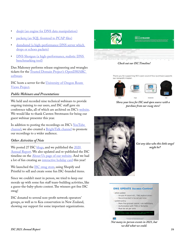- <span id="page-18-0"></span>[dnsjit \(an engine for DNS data manipulation\)](https://github.com/DNS-OARC/dnsjit/pulls?q=is%3Apr+author%3Apspacek)
- [packetq \(an SQL frontend to PCAP files\)](https://github.com/DNS-OARC/PacketQ/pull/93)
- dumdumd (a high-performance DNS server which [drops or echoes packets\)](https://github.com/DNS-OARC/dumdumd/pull/19)
- [DNS Shotgun \(a high-performance, realistic DNS](https://gitlab.nic.cz/knot/shotgun/-/merge_requests?author_username=isc-pspacek&scope=all&state=merged)  [benchmarking tool\)](https://gitlab.nic.cz/knot/shotgun/-/merge_requests?author_username=isc-pspacek&scope=all&state=merged)

Dan Mahoney performs release engineering and wrangles tickets for the [Trusted Domain Project's OpenDMARC](https://github.com/trusteddomainproject/OpenDMARC)  [software](https://github.com/trusteddomainproject/OpenDMARC).

ISC hosts a server for the [University of Oregon Route](http://www.routeviews.org/routeviews/)  [Views Project](http://www.routeviews.org/routeviews/).

#### *Public Webinars and Presentations*

We held and recorded nine technical webinars to provide ongoing training to our users, and ISC staff gave six conference talks, all of which are archived on ISC's [website.](https://www.isc.org/presentations/) We would like to thank Carsten Strotmann for being our guest webinar presenter this year.

In addition to posting the recordings on ISC's YouTube [channel](https://www.youtube.com/c/ISCdotorg), we also created a [BrightTalk channel](https://www.brighttalk.com/channel/19040/) to promote our recordings to a wider audience.

#### *Other Activities of Note*

We posted 27 ISC **blogs**, and we published the 2020 [Annual Report.](https://www.isc.org/blogs/iscs-2020-annual-report/) We also updated and re-published the ISC timeline on the **About Us page of our website**. And we had a lot of fun creating an [interactive holiday card](https://www.isc.org/blogs/2021-holiday-card/) this year!

We launched the **ISC** swag store, using Shopify and Printful to sell and create some fun ISC-branded items.

Since we couldn't meet in person, we tried to keep our morale up with some fun staff team-building activities, like a guess-the-baby-photo contest. The winners got free ISC swag!

ISC donated to several non-profit network operators' groups, as well as to Kea conservation in New Zealand, showing our support for some important organizations.

|  |                | SEPTEMBER 29-2625<br><b>KEA 2.0.0 RELEASED</b><br>This player featured the results of a year's most of development effect, excluding forms performance several<br>using man workering often testable postmeters for your flooring as in provide environments, greater<br>restoracy and implement hundring of became closers, corporate security implementations are books, and most |  |  |  |  |  |
|--|----------------|-------------------------------------------------------------------------------------------------------------------------------------------------------------------------------------------------------------------------------------------------------------------------------------------------------------------------------------------------------------------------------------|--|--|--|--|--|
|  |                | apreciate.                                                                                                                                                                                                                                                                                                                                                                          |  |  |  |  |  |
|  | <b>TELEVIS</b> | <b>MAG</b>                                                                                                                                                                                                                                                                                                                                                                          |  |  |  |  |  |

*Check out our ISC Timeline!*

Thank you for supporting ISC's open source! Your purchase supports our nonprofit mission.

![](_page_18_Picture_17.jpeg)

*Show your love for ISC and open source with a purchase from our swag store!*

![](_page_18_Picture_19.jpeg)

*Got any idea who this little angel might be?*

![](_page_18_Picture_21.jpeg)

*Not many in-person events in 2021, but we did what we could.*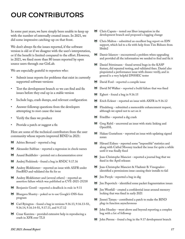### <span id="page-19-0"></span>**OUR CONTRIBUTORS**

In some past years, we have simply been unable to keep up with the number of externally created issues. In 2021, we did some impressive catching-up on that front.

We don't always fix the issues reported, if the software version is old or if we disagree with the user's interpretation, or if the benefit is limited compared to the effort. However, in 2021, we fixed more than 80 issues reported by open source users through our GitLab.

We are especially grateful to reporters who:

- Submit issue reports for problems that exist in currently supported software versions
- Test the development branch so we can find and fix issues before they end up in a stable version
- Include logs, crash dumps, and relevant configuration
- Answer followup questions from the developers attempting to root cause the issue
- Verify the fixes we produce
- Provide a patch or suggest a fix

Here are some of the technical contributors from the user community whose reports improved BIND in 2021:

- Adrien Bernard reported a bug
- Alexander Sulfrian reported a regression in check-names
- Anand Buddhdev pointed out a documentation error
- Andrej Podzimek found a bug in RNDC 9.17.16
- Andrey Blokhintsev reported an issue with AXFR under FreeBSD and validated the fix for us
- Andrey Blokhintsev and (several others) reported an assertion failure which was published as CVE-2021-25218
- Benjamin Gentil reported a deadlock in rndc in 9.11
- Bhargava Shastry poked us to use Google's OSS-fuzz program
- Carl Byington found a bug in versions 9.16.13, 9.16.13-S1, 9.16.14, 9.16.14-S1, 9.17.11, and 9.17.12
- Cesar Kuroiwa provided extensive help in reproducing a crash in XFR over TLS
- Chris Caputo tested our libuv integration in the development branch and proposed a logging change
- Chris Malton submitted an excellent bug report on IDN support, which led to a fix with help from Tim Rühsen from libidn2
- Damir Islamov encountered a problem when upgrading and provided all the information we needed to find and fix it
- Daniel Stirnimann found several bugs in the KASP feature, did repeated testing, and validated fixes. Daniel also pinpointed a performance issue with dnssec-verify, and in general is a very helpful DNSSEC tester
- David Ford reported a compile issue
- David M Walker reported a build failure that was fixed
- Egbert found a bug in 9.16.15
- Erich Eckner reported an issue with AXFR in 9.16.12
- Flindeberg submitted a memorable enhancement request, although we opted not to act on it
- Friedlho reported a dig crash
- Greg Rabil uncovered an issue with static linking and OpenSSL
- Hakan Gustafsson reported an issue with updating signed zones
- Håvard Eidnes reported some "impossible" statistics and along with Cathal Mooney tracked the issue for quite a while until it was finally fixed
- Jean-Christophe Manciot reported a journal bug that we fixed in the April releases
- Jean-Christophe Manciot & Vladimir B. Vinogradovidentified a permissions issue causing their installs to fail
- Jim Pirzyk reported a bug in dig
- Jim Popovitch identified some packet fragmentation issues
- Jim Westfall created a confidential issue around memory locking that was fixed in early 2021
- Jinmei Tatuya contributed a patch to make the BIND plug-in function asynchronous
- John Heasley went above and beyond reporting a complex bug with a lot of followup
- John Perone found a bug in the 9.17 development branch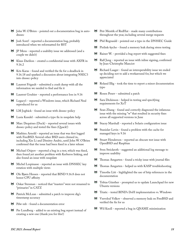- John W. O'Brien pointed out a documentation bug in autodnssec
- Josh Soref reported a documentation bug, probably introduced when we reformatted for RST
- JP Mens reported a usability issue we addressed (and a couple we didn't)
- Klaus Darilion created a confidential issue with AXFR in 9.16.2
- Kris Karas found and verified the fix for a deadlock in 9.16.18 and sparked a discussion about integrating NSEC3 into dnssec-policy
- Laurent Frigault submitted a crash dump with all the information we needed to find and fix it
- Laurent Gouhier reported a performance loss in 9.16
- Legacy1 reported a Windows issue, which Richard Neal reproduced for us
- **LM** Jogbäck found an issue with dnssec-policy
- Lusia Kundel submitted a typo fix in nsupdate help
- Marc Dequènes (Duck) reported several issues with dnssec-policy and tested the fixes (Quack!)
- Mathieu Arnold reported an issue that was first logged with FreeBSD. Several other BSD users chimed in, including Xin Li and Dimitry Andric, until John W. O'Brien confirmed that the issue had been fixed in a later release
- Michael Osipov reported a bug in a test, which was fixed, then found yet another problem with Kerberos linking, and also found an issue with nsupdate
- Michel Lespinasse reported an issue with DNSSEC key rotation with multiple views
- Ole Bjørn Hessen reported that BIND 9.16.8 does not honor CPU affinity
- Oskar Stenman noticed that "masters" were not renamed to "primaries" in CATZ
- Patrick McLean submitted a patch to improve dig's timestamp accuracy
- Pdw-mb found a documentation error
- Per Lundberg added to an existing bug report instead of creating a new one (thank you for this!)
- Petr Menšík of RedHat made many contributions throughout the year, including several merge requests
- Phil Regnauld pointed out a typo in the DNSSEC Guide
- Piolink-kycho found a memory leak during stress testing
- Rainer W. provided a bug report with suggested fixes
- Ralf Jung reported an issue with inline signing, confirmed by Jean-Christophe Manciot
- Richard Laager found an interoperability issue we ended up deciding not to add a workaround for, but which we appreciated
- Roland Illig took the time to report a minor documentation typo
- Rosen Penev submitted a patch
- Sara Dickinson helped in testing and specifying requirements for XoT
- Sean Zhang found and correctly diagnosed the infamous issue with the missing "w" that resulted in security fixes across all supported versions in June
- Stacey Marshall reported a Solaris configuration issue
- Stanislav Levin found a problem with the cache for managed keys in 9.16
- Stuart Henderson reported an obscure test issue with OpenBSD and Raspbian
- Sven Strickroth suggested an additional log message to improve usability
- Thomas Amgarten found a tricky issue with journal files
- Thomas Amgarten helped us with KASP troubleshooting
- Timothe Litt highlighted the use of http references in the documentation
- Tobias Günther prompted us to update Launchpad for new Ubuntu versions
- Triatic tested BIND's DoH implementation vs. Windows
- Vsevolod Volkov observed a memory leak on FreeBSD and verified the fix for us
- Wil Knoll reported a bug in QNAME minimization